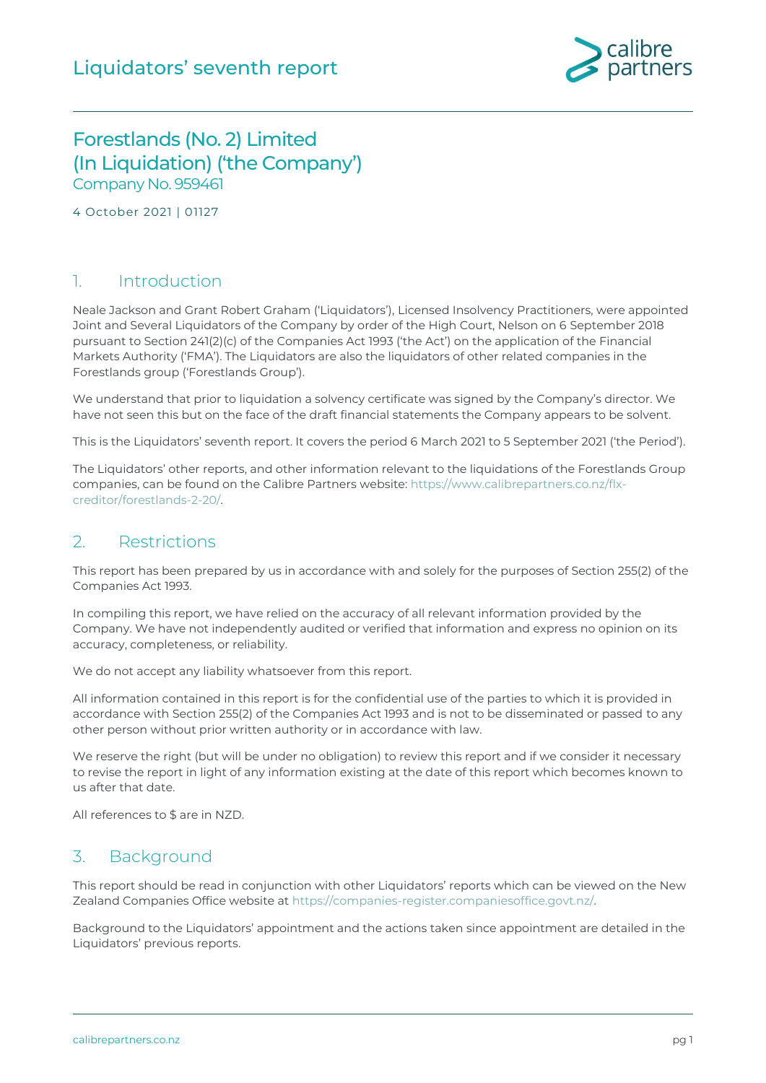

### Forestlands (No. 2) Limited (In Liquidation) ('the Company') Company No. 959461

4 October 2021 | 01127

#### 1. Introduction

Neale Jackson and Grant Robert Graham ('Liquidators'), Licensed Insolvency Practitioners, were appointed Joint and Several Liquidators of the Company by order of the High Court, Nelson on 6 September 2018 pursuant to Section 241(2)(c) of the Companies Act 1993 ('the Act') on the application of the Financial Markets Authority ('FMA'). The Liquidators are also the liquidators of other related companies in the Forestlands group ('Forestlands Group').

We understand that prior to liquidation a solvency certificate was signed by the Company's director. We have not seen this but on the face of the draft financial statements the Company appears to be solvent.

This is the Liquidators' seventh report. It covers the period 6 March 2021 to 5 September 2021 ('the Period').

The Liquidators' other reports, and other information relevant to the liquidations of the Forestlands Group companies, can be found on the Calibre Partners website: [https://www.calibrepartners.co.nz/flx](https://www.calibrepartners.co.nz/flx-creditor/forestlands-2-20/)[creditor/forestlands-2-20/.](https://www.calibrepartners.co.nz/flx-creditor/forestlands-2-20/)

#### 2. Restrictions

This report has been prepared by us in accordance with and solely for the purposes of Section 255(2) of the Companies Act 1993.

In compiling this report, we have relied on the accuracy of all relevant information provided by the Company. We have not independently audited or verified that information and express no opinion on its accuracy, completeness, or reliability.

We do not accept any liability whatsoever from this report.

All information contained in this report is for the confidential use of the parties to which it is provided in accordance with Section 255(2) of the Companies Act 1993 and is not to be disseminated or passed to any other person without prior written authority or in accordance with law.

We reserve the right (but will be under no obligation) to review this report and if we consider it necessary to revise the report in light of any information existing at the date of this report which becomes known to us after that date.

All references to \$ are in NZD.

#### 3. Background

This report should be read in conjunction with other Liquidators' reports which can be viewed on the New Zealand Companies Office website at [https://companies-register.companiesoffice.govt.nz/.](https://companies-register.companiesoffice.govt.nz/)

Background to the Liquidators' appointment and the actions taken since appointment are detailed in the Liquidators' previous reports.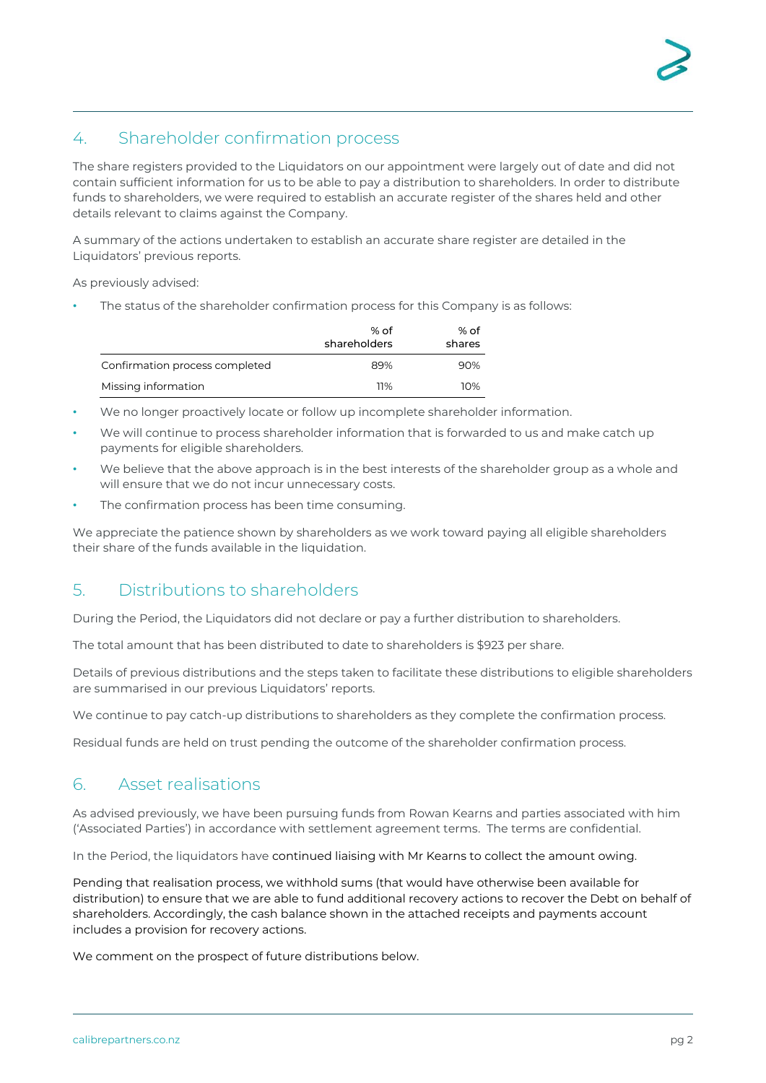## 4. Shareholder confirmation process

The share registers provided to the Liquidators on our appointment were largely out of date and did not contain sufficient information for us to be able to pay a distribution to shareholders. In order to distribute funds to shareholders, we were required to establish an accurate register of the shares held and other details relevant to claims against the Company.

A summary of the actions undertaken to establish an accurate share register are detailed in the Liquidators' previous reports.

As previously advised:

The status of the shareholder confirmation process for this Company is as follows:

|                                | % of<br>shareholders | % of<br>shares |
|--------------------------------|----------------------|----------------|
| Confirmation process completed | 89%                  | 90%            |
| Missing information            | 11%                  | 10%            |

- We no longer proactively locate or follow up incomplete shareholder information.
- We will continue to process shareholder information that is forwarded to us and make catch up payments for eligible shareholders.
- We believe that the above approach is in the best interests of the shareholder group as a whole and will ensure that we do not incur unnecessary costs.
- The confirmation process has been time consuming.

We appreciate the patience shown by shareholders as we work toward paying all eligible shareholders their share of the funds available in the liquidation.

### 5. Distributions to shareholders

During the Period, the Liquidators did not declare or pay a further distribution to shareholders.

The total amount that has been distributed to date to shareholders is \$923 per share.

Details of previous distributions and the steps taken to facilitate these distributions to eligible shareholders are summarised in our previous Liquidators' reports.

We continue to pay catch-up distributions to shareholders as they complete the confirmation process.

Residual funds are held on trust pending the outcome of the shareholder confirmation process.

#### 6. Asset realisations

As advised previously, we have been pursuing funds from Rowan Kearns and parties associated with him ('Associated Parties') in accordance with settlement agreement terms. The terms are confidential.

In the Period, the liquidators have continued liaising with Mr Kearns to collect the amount owing.

Pending that realisation process, we withhold sums (that would have otherwise been available for distribution) to ensure that we are able to fund additional recovery actions to recover the Debt on behalf of shareholders. Accordingly, the cash balance shown in the attached receipts and payments account includes a provision for recovery actions.

We comment on the prospect of future distributions below.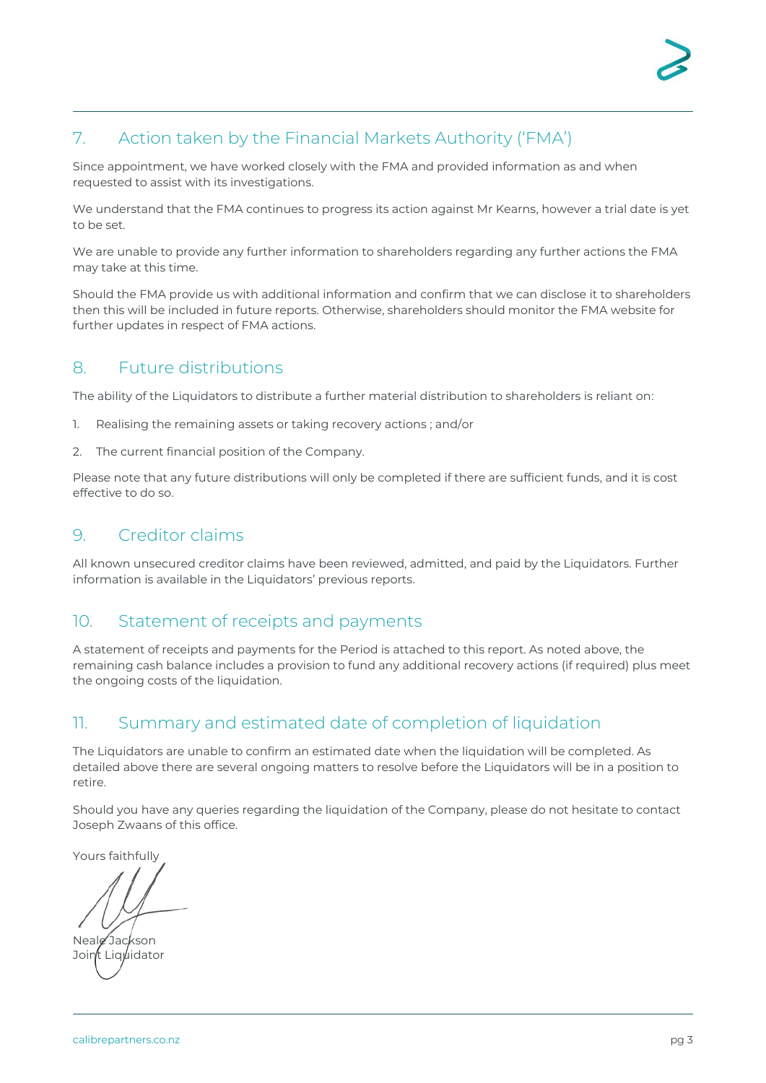## 7. Action taken by the Financial Markets Authority ('FMA')

Since appointment, we have worked closely with the FMA and provided information as and when requested to assist with its investigations.

We understand that the FMA continues to progress its action against Mr Kearns, however a trial date is yet to be set.

We are unable to provide any further information to shareholders regarding any further actions the FMA may take at this time.

Should the FMA provide us with additional information and confirm that we can disclose it to shareholders then this will be included in future reports. Otherwise, shareholders should monitor the FMA website for further updates in respect of FMA actions.

### 8. Future distributions

The ability of the Liquidators to distribute a further material distribution to shareholders is reliant on:

- 1. Realising the remaining assets or taking recovery actions ; and/or
- 2. The current financial position of the Company.

Please note that any future distributions will only be completed if there are sufficient funds, and it is cost effective to do so.

### 9. Creditor claims

All known unsecured creditor claims have been reviewed, admitted, and paid by the Liquidators. Further information is available in the Liquidators' previous reports.

### 10. Statement of receipts and payments

A statement of receipts and payments for the Period is attached to this report. As noted above, the remaining cash balance includes a provision to fund any additional recovery actions (if required) plus meet the ongoing costs of the liquidation.

### 11. Summary and estimated date of completion of liquidation

The Liquidators are unable to confirm an estimated date when the liquidation will be completed. As detailed above there are several ongoing matters to resolve before the Liquidators will be in a position to retire.

Should you have any queries regarding the liquidation of the Company, please do not hesitate to contact Joseph Zwaans of this office.

Yours faithfully

Neale Jackson Joint Liguidator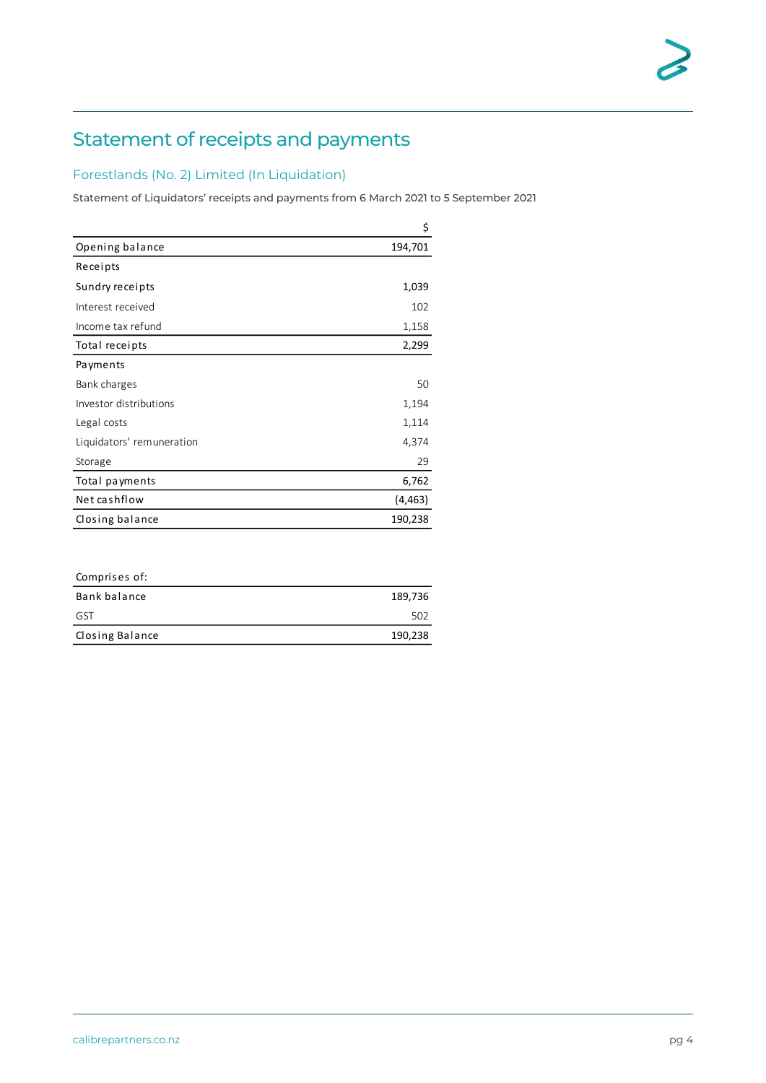# Statement of receipts and payments

#### Forestlands (No. 2) Limited (In Liquidation)

Statement of Liquidators' receipts and payments from 6 March 2021 to 5 September 2021

|                           | \$       |
|---------------------------|----------|
| Opening balance           | 194,701  |
| Receipts                  |          |
| Sundry receipts           | 1,039    |
| Interest received         | 102      |
| Income tax refund         | 1,158    |
| Total receipts            | 2,299    |
| Payments                  |          |
| Bank charges              | 50       |
| Investor distributions    | 1,194    |
| Legal costs               | 1,114    |
| Liquidators' remuneration | 4,374    |
| Storage                   | 29       |
| Total payments            | 6,762    |
| Net cashflow              | (4, 463) |
| Closing balance           | 190,238  |

| Comprises of:   |         |
|-----------------|---------|
| Bank balance    | 189,736 |
| GST             | 502     |
| Closing Balance | 190,238 |